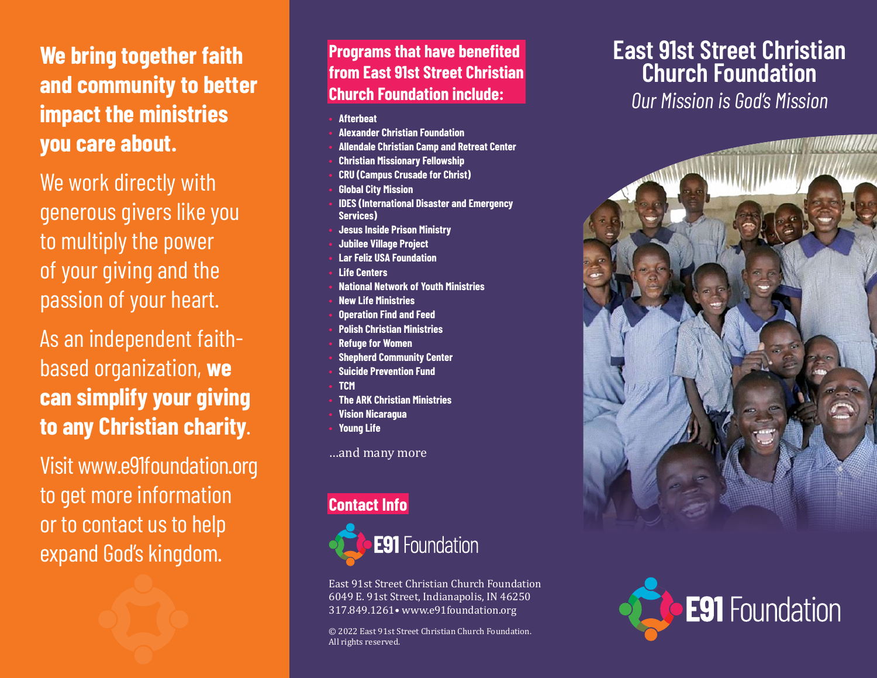# **We bring together faith and community to better impact the ministries you care about.**

We work directly with generous givers like you to multiply the power of your giving and the passion of your heart.

As an independent faithbased organization, **we can simplify your giving to any Christian charity**.

Visit www.e91foundation.org to get more information or to contact us to help expand God's kingdom.

**Programs that have benefited from East 91st Street Christian Church Foundation include:**

- **• Afterbeat**
- **• Alexander Christian Foundation**
- **• Allendale Christian Camp and Retreat Center**
- **• Christian Missionary Fellowship**
- **• CRU (Campus Crusade for Christ)**
- **• Global City Mission**
- **• IDES (International Disaster and Emergency Services)**
- **• Jesus Inside Prison Ministry**
- **• Jubilee Village Project**
- **• Lar Feliz USA Foundation**
- **• Life Centers**
- **• National Network of Youth Ministries**
- **• New Life Ministries**
- **• Operation Find and Feed**
- **• Polish Christian Ministries**
- **• Refuge for Women**
- **• Shepherd Community Center**
- **• Suicide Prevention Fund**
- **• TCM**
- **• The ARK Christian Ministries**
- **• Vision Nicaragua**
- **• Young Life**

…and many more

## **Contact Info**



East 91st Street Christian Church Foundation 6049 E. 91st Street, Indianapolis, IN 46250 317.849.1261• www.e91foundation.org

© 2022 East 91st Street Christian Church Foundation. All rights reserved.

## **East 91st Street Christian Church Foundation**

*Our Mission is God's Mission*